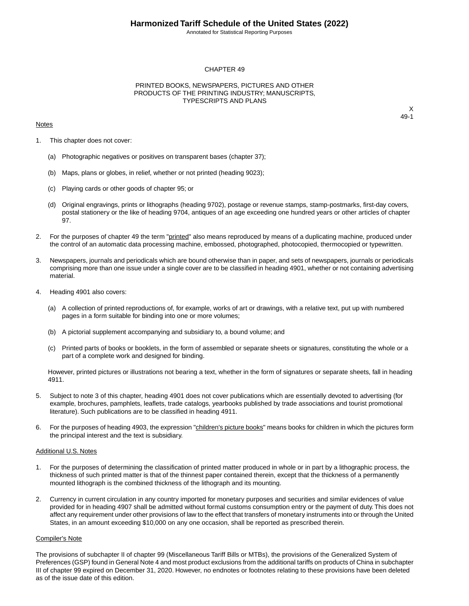Annotated for Statistical Reporting Purposes

### CHAPTER 49

### PRINTED BOOKS, NEWSPAPERS, PICTURES AND OTHER PRODUCTS OF THE PRINTING INDUSTRY; MANUSCRIPTS, TYPESCRIPTS AND PLANS

#### **Notes**

X 49-1

- 1. This chapter does not cover:
	- (a) Photographic negatives or positives on transparent bases (chapter 37);
	- (b) Maps, plans or globes, in relief, whether or not printed (heading 9023);
	- (c) Playing cards or other goods of chapter 95; or
	- (d) Original engravings, prints or lithographs (heading 9702), postage or revenue stamps, stamp-postmarks, first-day covers, postal stationery or the like of heading 9704, antiques of an age exceeding one hundred years or other articles of chapter 97.
- 2. For the purposes of chapter 49 the term "printed" also means reproduced by means of a duplicating machine, produced under the control of an automatic data processing machine, embossed, photographed, photocopied, thermocopied or typewritten.
- 3. Newspapers, journals and periodicals which are bound otherwise than in paper, and sets of newspapers, journals or periodicals comprising more than one issue under a single cover are to be classified in heading 4901, whether or not containing advertising material.
- 4. Heading 4901 also covers:
	- (a) A collection of printed reproductions of, for example, works of art or drawings, with a relative text, put up with numbered pages in a form suitable for binding into one or more volumes;
	- (b) A pictorial supplement accompanying and subsidiary to, a bound volume; and
	- (c) Printed parts of books or booklets, in the form of assembled or separate sheets or signatures, constituting the whole or a part of a complete work and designed for binding.

However, printed pictures or illustrations not bearing a text, whether in the form of signatures or separate sheets, fall in heading 4911.

- 5. Subject to note 3 of this chapter, heading 4901 does not cover publications which are essentially devoted to advertising (for example, brochures, pamphlets, leaflets, trade catalogs, yearbooks published by trade associations and tourist promotional literature). Such publications are to be classified in heading 4911.
- 6. For the purposes of heading 4903, the expression "children's picture books" means books for children in which the pictures form the principal interest and the text is subsidiary.

#### Additional U.S. Notes

- 1. For the purposes of determining the classification of printed matter produced in whole or in part by a lithographic process, the thickness of such printed matter is that of the thinnest paper contained therein, except that the thickness of a permanently mounted lithograph is the combined thickness of the lithograph and its mounting.
- 2. Currency in current circulation in any country imported for monetary purposes and securities and similar evidences of value provided for in heading 4907 shall be admitted without formal customs consumption entry or the payment of duty. This does not affect any requirement under other provisions of law to the effect that transfers of monetary instruments into or through the United States, in an amount exceeding \$10,000 on any one occasion, shall be reported as prescribed therein.

#### Compiler's Note

The provisions of subchapter II of chapter 99 (Miscellaneous Tariff Bills or MTBs), the provisions of the Generalized System of Preferences (GSP) found in General Note 4 and most product exclusions from the additional tariffs on products of China in subchapter III of chapter 99 expired on December 31, 2020. However, no endnotes or footnotes relating to these provisions have been deleted as of the issue date of this edition.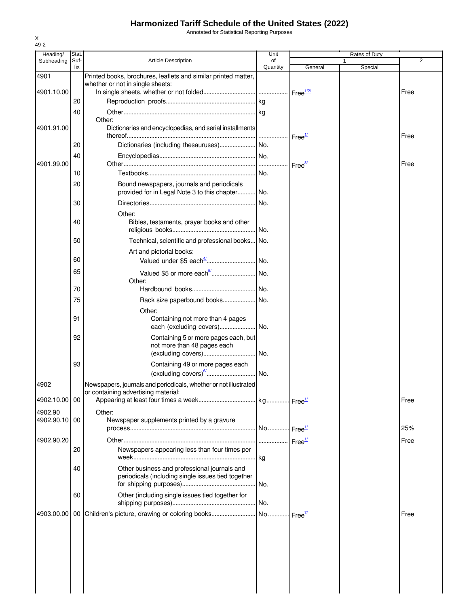Annotated for Statistical Reporting Purposes

| Printed books, brochures, leaflets and similar printed matter,<br>Dictionaries and encyclopedias, and serial installments | of<br>Quantity | General            |                       |                |
|---------------------------------------------------------------------------------------------------------------------------|----------------|--------------------|-----------------------|----------------|
|                                                                                                                           |                |                    | Special               | $\overline{2}$ |
|                                                                                                                           |                |                    |                       |                |
|                                                                                                                           |                |                    |                       |                |
|                                                                                                                           |                |                    |                       | Free           |
|                                                                                                                           |                |                    |                       |                |
|                                                                                                                           |                |                    |                       |                |
|                                                                                                                           |                | Free <sup>1/</sup> |                       | Free           |
|                                                                                                                           |                |                    |                       |                |
|                                                                                                                           |                |                    |                       |                |
|                                                                                                                           |                |                    |                       | Free           |
| Bound newspapers, journals and periodicals                                                                                |                |                    |                       |                |
| provided for in Legal Note 3 to this chapter No.                                                                          |                |                    |                       |                |
|                                                                                                                           | No.            |                    |                       |                |
| Bibles, testaments, prayer books and other                                                                                | No.            |                    |                       |                |
| Technical, scientific and professional books No.                                                                          |                |                    |                       |                |
|                                                                                                                           |                |                    |                       |                |
|                                                                                                                           |                |                    |                       |                |
|                                                                                                                           |                |                    |                       |                |
|                                                                                                                           |                |                    |                       |                |
| Rack size paperbound books No.                                                                                            |                |                    |                       |                |
|                                                                                                                           |                |                    |                       |                |
| Containing not more than 4 pages<br>each (excluding covers)                                                               | .lNo.          |                    |                       |                |
| Containing 5 or more pages each, but                                                                                      |                |                    |                       |                |
| not more than 48 pages each                                                                                               |                |                    |                       |                |
|                                                                                                                           |                |                    |                       |                |
| Containing 49 or more pages each                                                                                          |                |                    |                       |                |
| (excluding covers) <sup>6/</sup>   No.                                                                                    |                |                    |                       |                |
| Newspapers, journals and periodicals, whether or not illustrated                                                          |                |                    |                       | Free           |
|                                                                                                                           |                |                    |                       |                |
|                                                                                                                           |                |                    |                       |                |
| Newspaper supplements printed by a gravure                                                                                |                |                    |                       |                |
|                                                                                                                           |                |                    |                       | 25%            |
|                                                                                                                           |                | Free <sup>1/</sup> |                       | Free           |
| Newspapers appearing less than four times per                                                                             |                |                    |                       |                |
| Other business and professional journals and<br>periodicals (including single issues tied together                        |                |                    |                       |                |
|                                                                                                                           |                |                    |                       |                |
| Other (including single issues tied together for                                                                          | No.            |                    |                       |                |
|                                                                                                                           |                | .lkg               | No Free <sup>1/</sup> |                |

X 49-2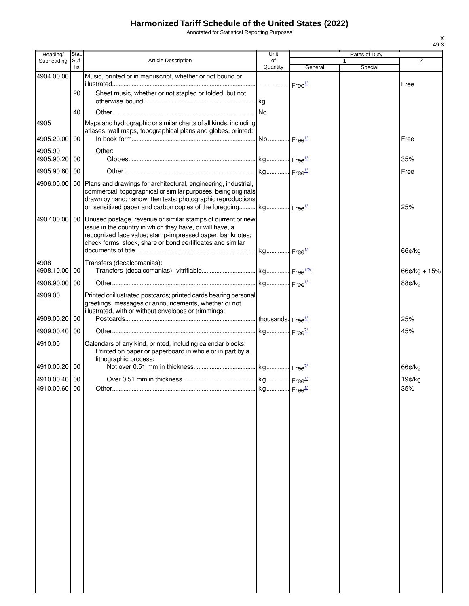Annotated for Statistical Reporting Purposes

| Heading/                       | Stat.       |                                                                                                                                                                                                                                                                                                    | Unit           |         | Rates of Duty           |                |
|--------------------------------|-------------|----------------------------------------------------------------------------------------------------------------------------------------------------------------------------------------------------------------------------------------------------------------------------------------------------|----------------|---------|-------------------------|----------------|
| Subheading                     | Suf-<br>fix | <b>Article Description</b>                                                                                                                                                                                                                                                                         | of<br>Quantity | General | $\mathbf{1}$<br>Special | 2              |
| 4904.00.00                     |             | Music, printed or in manuscript, whether or not bound or                                                                                                                                                                                                                                           |                |         |                         |                |
|                                | 20          | Sheet music, whether or not stapled or folded, but not                                                                                                                                                                                                                                             |                |         |                         | Free           |
|                                | 40          |                                                                                                                                                                                                                                                                                                    |                |         |                         |                |
| 4905<br>4905.20.00 00          |             | Maps and hydrographic or similar charts of all kinds, including<br>atlases, wall maps, topographical plans and globes, printed:                                                                                                                                                                    |                |         |                         | Free           |
| 4905.90<br>4905.90.20 00       |             | Other:                                                                                                                                                                                                                                                                                             |                |         |                         | 35%            |
| 4905.90.60 00                  |             |                                                                                                                                                                                                                                                                                                    |                |         |                         | Free           |
|                                |             | 4906.00.00   00   Plans and drawings for architectural, engineering, industrial,<br>commercial, topographical or similar purposes, being originals<br>drawn by hand; handwritten texts; photographic reproductions<br>on sensitized paper and carbon copies of the foregoing kg Free <sup>1/</sup> |                |         |                         | 25%            |
|                                |             | 4907.00.00   00   Unused postage, revenue or similar stamps of current or new<br>issue in the country in which they have, or will have, a<br>recognized face value; stamp-impressed paper; banknotes;<br>check forms; stock, share or bond certificates and similar                                |                |         |                         | 66¢/kg         |
| 4908<br>4908.10.00 00          |             | Transfers (decalcomanias):                                                                                                                                                                                                                                                                         |                |         |                         | $66¢/kg + 15%$ |
| 4908.90.00 00                  |             |                                                                                                                                                                                                                                                                                                    |                |         |                         | 88¢/kg         |
| 4909.00                        |             | Printed or illustrated postcards; printed cards bearing personal<br>greetings, messages or announcements, whether or not<br>illustrated, with or without envelopes or trimmings:                                                                                                                   |                |         |                         |                |
| 4909.00.20 00                  |             |                                                                                                                                                                                                                                                                                                    |                |         |                         | 25%            |
| 4909.00.40 00                  |             |                                                                                                                                                                                                                                                                                                    |                |         |                         | 45%            |
| 4910.00                        |             | Calendars of any kind, printed, including calendar blocks:<br>Printed on paper or paperboard in whole or in part by a<br>lithographic process:                                                                                                                                                     |                |         |                         |                |
| 4910.00.20100                  |             |                                                                                                                                                                                                                                                                                                    |                |         |                         | 66¢/kg         |
| 4910.00.40 00<br>4910.00.60 00 |             |                                                                                                                                                                                                                                                                                                    |                |         |                         | 19¢/kg<br>35%  |
|                                |             |                                                                                                                                                                                                                                                                                                    |                |         |                         |                |

X 49-3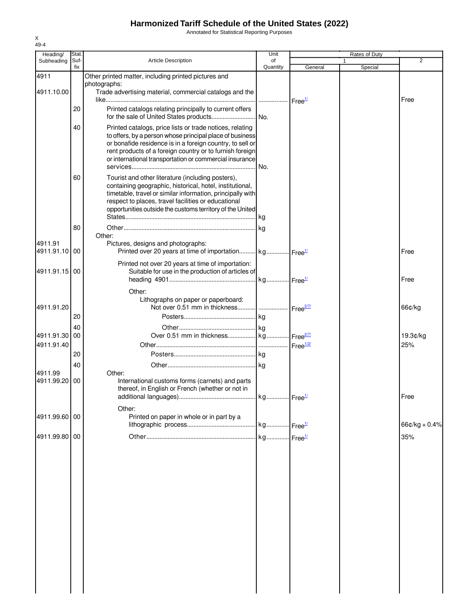Annotated for Statistical Reporting Purposes

| Heading/      | Stat.       |                                                                    | Unit           |                      | Rates of Duty |                 |
|---------------|-------------|--------------------------------------------------------------------|----------------|----------------------|---------------|-----------------|
| Subheading    | Suf-<br>fix | <b>Article Description</b>                                         | of<br>Quantity | General              | Special       | $\overline{2}$  |
| 4911          |             | Other printed matter, including printed pictures and               |                |                      |               |                 |
|               |             | photographs:                                                       |                |                      |               |                 |
| 4911.10.00    |             | Trade advertising material, commercial catalogs and the            |                |                      |               |                 |
|               |             |                                                                    |                |                      |               | Free            |
|               | 20          | Printed catalogs relating principally to current offers            | No.            |                      |               |                 |
|               | 40          | Printed catalogs, price lists or trade notices, relating           |                |                      |               |                 |
|               |             | to offers, by a person whose principal place of business           |                |                      |               |                 |
|               |             | or bonafide residence is in a foreign country, to sell or          |                |                      |               |                 |
|               |             | rent products of a foreign country or to furnish foreign           |                |                      |               |                 |
|               |             | or international transportation or commercial insurance            |                |                      |               |                 |
|               |             |                                                                    |                |                      |               |                 |
|               | 60          | Tourist and other literature (including posters),                  |                |                      |               |                 |
|               |             | containing geographic, historical, hotel, institutional,           |                |                      |               |                 |
|               |             | timetable, travel or similar information, principally with         |                |                      |               |                 |
|               |             | respect to places, travel facilities or educational                |                |                      |               |                 |
|               |             | opportunities outside the customs territory of the United          |                |                      |               |                 |
|               |             |                                                                    |                |                      |               |                 |
|               | 80          |                                                                    |                |                      |               |                 |
|               |             | Other:                                                             |                |                      |               |                 |
| 4911.91       |             | Pictures, designs and photographs:                                 |                |                      |               |                 |
| 4911.91.10 00 |             | Printed over 20 years at time of importation kg Free <sup>1/</sup> |                |                      |               | Free            |
|               |             | Printed not over 20 years at time of importation:                  |                |                      |               |                 |
| 4911.91.15 00 |             | Suitable for use in the production of articles of                  |                |                      |               |                 |
|               |             |                                                                    |                |                      |               | Free            |
|               |             | Other:                                                             |                |                      |               |                 |
|               |             | Lithographs on paper or paperboard:                                |                |                      |               |                 |
| 4911.91.20    |             |                                                                    |                | Free <sup>2/7/</sup> |               | 66¢/kg          |
|               | 20          |                                                                    |                |                      |               |                 |
|               |             |                                                                    |                |                      |               |                 |
|               | 40          |                                                                    |                |                      |               |                 |
| 4911.91.30    | 00          | Over 0.51 mm in thickness kg Free <sup>277</sup>                   |                |                      |               | 19.3¢/kg        |
| 4911.91.40    |             |                                                                    |                |                      |               | 25%             |
|               | 20          |                                                                    |                |                      |               |                 |
|               | 40          |                                                                    |                |                      |               |                 |
| 4911.99       |             | Other:                                                             |                |                      |               |                 |
| 4911.99.20    | 00          | International customs forms (carnets) and parts                    |                |                      |               |                 |
|               |             | thereof, in English or French (whether or not in                   |                |                      |               |                 |
|               |             |                                                                    |                |                      |               | Free            |
|               |             | Other:                                                             |                |                      |               |                 |
| 4911.99.60 00 |             | Printed on paper in whole or in part by a                          |                |                      |               |                 |
|               |             |                                                                    |                |                      |               | $66¢/kg + 0.4%$ |
| 4911.99.80 00 |             |                                                                    |                |                      |               | 35%             |
|               |             |                                                                    |                |                      |               |                 |
|               |             |                                                                    |                |                      |               |                 |
|               |             |                                                                    |                |                      |               |                 |
|               |             |                                                                    |                |                      |               |                 |
|               |             |                                                                    |                |                      |               |                 |
|               |             |                                                                    |                |                      |               |                 |
|               |             |                                                                    |                |                      |               |                 |
|               |             |                                                                    |                |                      |               |                 |
|               |             |                                                                    |                |                      |               |                 |
|               |             |                                                                    |                |                      |               |                 |
|               |             |                                                                    |                |                      |               |                 |
|               |             |                                                                    |                |                      |               |                 |
|               |             |                                                                    |                |                      |               |                 |
|               |             |                                                                    |                |                      |               |                 |
|               |             |                                                                    |                |                      |               |                 |
|               |             |                                                                    |                |                      |               |                 |
|               |             |                                                                    |                |                      |               |                 |
|               |             |                                                                    |                |                      |               |                 |
|               |             |                                                                    |                |                      |               |                 |

X 49-4